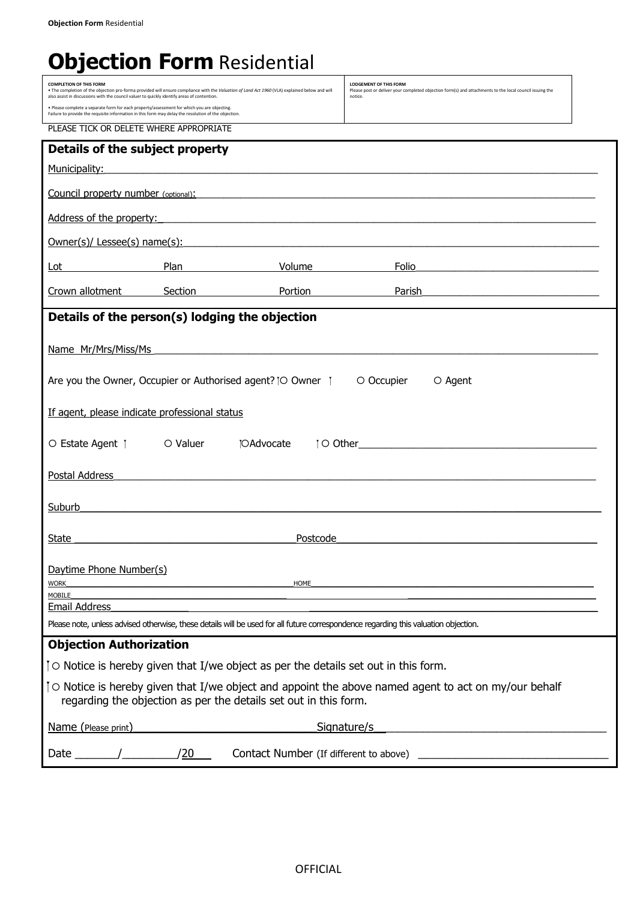## **Objection Form Residential**

| <b>COMPLETION OF THIS FORM</b><br>. The completion of the objection pro-forma provided will ensure compliance with the Valuation of Land Act 1960 (VLA) explained below and will<br>also assist in discussions with the council valuer to quickly identify areas of contention. |                                                                                                                                                                                                     | <b>LODGEMENT OF THIS FORM</b><br>Please post or deliver your completed objection form(s) and attachments to the local council issuing the<br>notice. |                                                                                                                                     |  |
|---------------------------------------------------------------------------------------------------------------------------------------------------------------------------------------------------------------------------------------------------------------------------------|-----------------------------------------------------------------------------------------------------------------------------------------------------------------------------------------------------|------------------------------------------------------------------------------------------------------------------------------------------------------|-------------------------------------------------------------------------------------------------------------------------------------|--|
|                                                                                                                                                                                                                                                                                 | . Please complete a separate form for each property/assessment for which you are objecting.<br>Failure to provide the requisite information in this form may delay the resolution of the objection. |                                                                                                                                                      |                                                                                                                                     |  |
| PLEASE TICK OR DELETE WHERE APPROPRIATE                                                                                                                                                                                                                                         |                                                                                                                                                                                                     |                                                                                                                                                      |                                                                                                                                     |  |
| Details of the subject property                                                                                                                                                                                                                                                 |                                                                                                                                                                                                     |                                                                                                                                                      |                                                                                                                                     |  |
| Municipality:                                                                                                                                                                                                                                                                   | <u> 1989 - Johann Stoff, deutscher Stoffen und der Stoffen und der Stoffen und der Stoffen und der Stoffen und der</u>                                                                              |                                                                                                                                                      |                                                                                                                                     |  |
|                                                                                                                                                                                                                                                                                 |                                                                                                                                                                                                     |                                                                                                                                                      | <b>Council property number</b> (optional):                                                                                          |  |
| Address of the property:                                                                                                                                                                                                                                                        | <u> 1989 - Johann Johann Stoff, deutscher Stoffen und der Stoffen und der Stoffen und der Stoffen und der Stoffen</u>                                                                               |                                                                                                                                                      |                                                                                                                                     |  |
| Owner(s)/ Lessee(s) name(s):                                                                                                                                                                                                                                                    |                                                                                                                                                                                                     |                                                                                                                                                      |                                                                                                                                     |  |
| Lot                                                                                                                                                                                                                                                                             | Plan                                                                                                                                                                                                | Volume                                                                                                                                               | Folio                                                                                                                               |  |
| Crown allotment                                                                                                                                                                                                                                                                 | Section                                                                                                                                                                                             | Portion                                                                                                                                              | Parish<br><u> 1989 - Johann Stoff, Amerikaansk politiker (* 1908)</u>                                                               |  |
|                                                                                                                                                                                                                                                                                 | Details of the person(s) lodging the objection                                                                                                                                                      |                                                                                                                                                      |                                                                                                                                     |  |
|                                                                                                                                                                                                                                                                                 |                                                                                                                                                                                                     |                                                                                                                                                      |                                                                                                                                     |  |
| Name Mr/Mrs/Miss/Ms                                                                                                                                                                                                                                                             |                                                                                                                                                                                                     | the control of the control of the control of the control of the control of                                                                           |                                                                                                                                     |  |
| Are you the Owner, Occupier or Authorised agent? [O Owner 1                                                                                                                                                                                                                     |                                                                                                                                                                                                     |                                                                                                                                                      | O Occupier<br>O Agent                                                                                                               |  |
| If agent, please indicate professional status                                                                                                                                                                                                                                   |                                                                                                                                                                                                     |                                                                                                                                                      |                                                                                                                                     |  |
| O Estate Agent   O Valuer                                                                                                                                                                                                                                                       | <b>IOAdvocate</b>                                                                                                                                                                                   |                                                                                                                                                      |                                                                                                                                     |  |
| Postal Address                                                                                                                                                                                                                                                                  |                                                                                                                                                                                                     |                                                                                                                                                      |                                                                                                                                     |  |
| Suburb                                                                                                                                                                                                                                                                          |                                                                                                                                                                                                     |                                                                                                                                                      |                                                                                                                                     |  |
|                                                                                                                                                                                                                                                                                 |                                                                                                                                                                                                     |                                                                                                                                                      |                                                                                                                                     |  |
| State                                                                                                                                                                                                                                                                           |                                                                                                                                                                                                     | Postcode                                                                                                                                             |                                                                                                                                     |  |
| Daytime Phone Number(s)                                                                                                                                                                                                                                                         |                                                                                                                                                                                                     |                                                                                                                                                      |                                                                                                                                     |  |
| HOME<br><b>WORK</b><br>MOBILE                                                                                                                                                                                                                                                   |                                                                                                                                                                                                     |                                                                                                                                                      |                                                                                                                                     |  |
| Email Address                                                                                                                                                                                                                                                                   |                                                                                                                                                                                                     |                                                                                                                                                      |                                                                                                                                     |  |
|                                                                                                                                                                                                                                                                                 |                                                                                                                                                                                                     |                                                                                                                                                      | Please note, unless advised otherwise, these details will be used for all future correspondence regarding this valuation objection. |  |
| <b>Objection Authorization</b>                                                                                                                                                                                                                                                  |                                                                                                                                                                                                     |                                                                                                                                                      |                                                                                                                                     |  |
| To Notice is hereby given that I/we object as per the details set out in this form.                                                                                                                                                                                             |                                                                                                                                                                                                     |                                                                                                                                                      |                                                                                                                                     |  |
|                                                                                                                                                                                                                                                                                 | regarding the objection as per the details set out in this form.                                                                                                                                    |                                                                                                                                                      | To Notice is hereby given that I/we object and appoint the above named agent to act on my/our behalf                                |  |
| Name (Please print)                                                                                                                                                                                                                                                             |                                                                                                                                                                                                     |                                                                                                                                                      | Signature/s                                                                                                                         |  |
|                                                                                                                                                                                                                                                                                 | Date /<br>/20<br>Contact Number (If different to above)                                                                                                                                             |                                                                                                                                                      |                                                                                                                                     |  |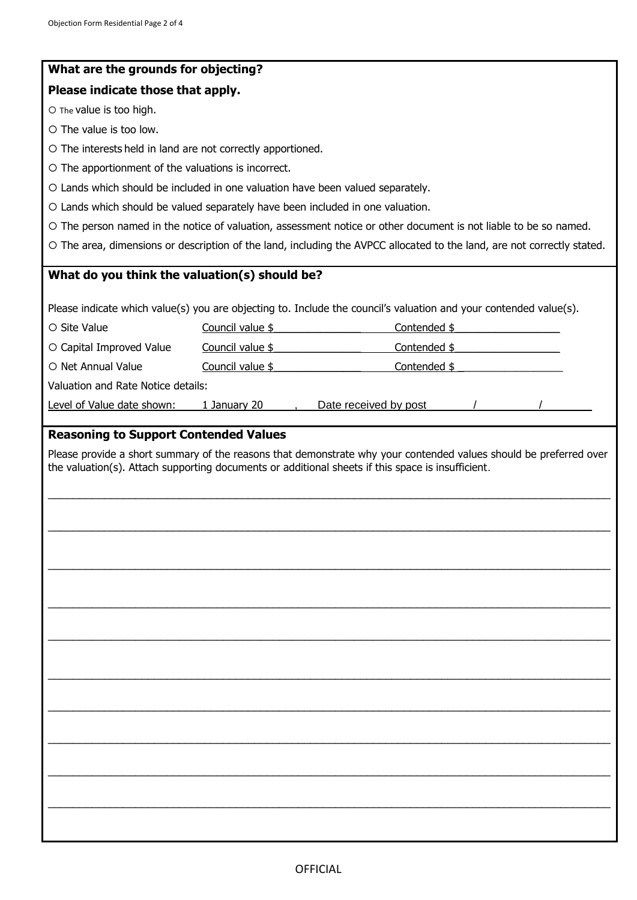| What are the grounds for objecting?                                            |                  |                                                                                                                                                                                                                        |  |  |  |  |
|--------------------------------------------------------------------------------|------------------|------------------------------------------------------------------------------------------------------------------------------------------------------------------------------------------------------------------------|--|--|--|--|
| Please indicate those that apply.                                              |                  |                                                                                                                                                                                                                        |  |  |  |  |
| O The value is too high.                                                       |                  |                                                                                                                                                                                                                        |  |  |  |  |
| O The value is too low.                                                        |                  |                                                                                                                                                                                                                        |  |  |  |  |
| O The interests held in land are not correctly apportioned.                    |                  |                                                                                                                                                                                                                        |  |  |  |  |
| O The apportionment of the valuations is incorrect.                            |                  |                                                                                                                                                                                                                        |  |  |  |  |
| O Lands which should be included in one valuation have been valued separately. |                  |                                                                                                                                                                                                                        |  |  |  |  |
| O Lands which should be valued separately have been included in one valuation. |                  |                                                                                                                                                                                                                        |  |  |  |  |
|                                                                                |                  | O The person named in the notice of valuation, assessment notice or other document is not liable to be so named.                                                                                                       |  |  |  |  |
|                                                                                |                  | O The area, dimensions or description of the land, including the AVPCC allocated to the land, are not correctly stated.                                                                                                |  |  |  |  |
| What do you think the valuation(s) should be?                                  |                  |                                                                                                                                                                                                                        |  |  |  |  |
|                                                                                |                  |                                                                                                                                                                                                                        |  |  |  |  |
|                                                                                |                  | Please indicate which value(s) you are objecting to. Include the council's valuation and your contended value(s).                                                                                                      |  |  |  |  |
| O Site Value                                                                   | Council value \$ | Contended \$                                                                                                                                                                                                           |  |  |  |  |
| O Capital Improved Value                                                       | Council value \$ | Contended \$                                                                                                                                                                                                           |  |  |  |  |
| O Net Annual Value                                                             | Council value \$ | Contended \$                                                                                                                                                                                                           |  |  |  |  |
| Valuation and Rate Notice details:                                             |                  |                                                                                                                                                                                                                        |  |  |  |  |
| Level of Value date shown:                                                     | 1 January 20     | Date received by post                                                                                                                                                                                                  |  |  |  |  |
|                                                                                |                  | Please provide a short summary of the reasons that demonstrate why your contended values should be preferred over<br>the valuation(s). Attach supporting documents or additional sheets if this space is insufficient. |  |  |  |  |
|                                                                                |                  |                                                                                                                                                                                                                        |  |  |  |  |
|                                                                                |                  |                                                                                                                                                                                                                        |  |  |  |  |
|                                                                                |                  |                                                                                                                                                                                                                        |  |  |  |  |
|                                                                                |                  |                                                                                                                                                                                                                        |  |  |  |  |
|                                                                                |                  |                                                                                                                                                                                                                        |  |  |  |  |
|                                                                                |                  |                                                                                                                                                                                                                        |  |  |  |  |
|                                                                                |                  |                                                                                                                                                                                                                        |  |  |  |  |
|                                                                                |                  |                                                                                                                                                                                                                        |  |  |  |  |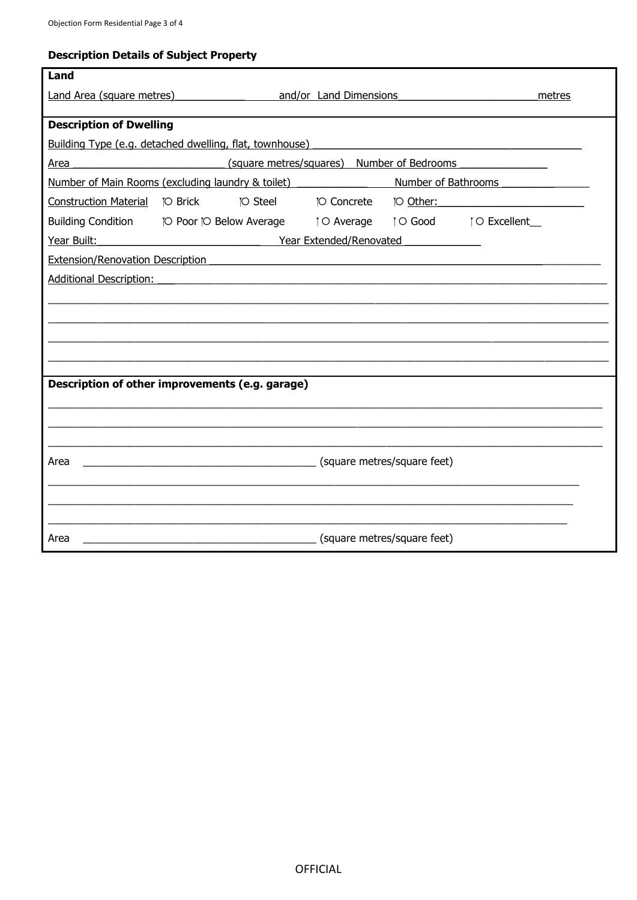## **Description Details of Subject Property**

| Land                                    |                                                                                |                         |                                            |        |
|-----------------------------------------|--------------------------------------------------------------------------------|-------------------------|--------------------------------------------|--------|
| Land Area (square metres)               |                                                                                | and/or Land Dimensions  |                                            | metres |
|                                         |                                                                                |                         |                                            |        |
| <b>Description of Dwelling</b>          |                                                                                |                         |                                            |        |
|                                         | Building Type (e.g. detached dwelling, flat, townhouse)                        |                         |                                            |        |
| Area                                    |                                                                                |                         | (square metres/squares) Number of Bedrooms |        |
|                                         | Number of Main Rooms (excluding laundry & toilet)                              |                         | Number of Bathrooms                        |        |
|                                         | <b>TO Steel</b>                                                                | <b>TO Concrete</b>      | TO Other:                                  |        |
|                                         | Building Condition [O Poor [O Below Average   O Average   O Good   O Excellent |                         |                                            |        |
| Year Built:                             |                                                                                | Year Extended/Renovated |                                            |        |
| <b>Extension/Renovation Description</b> |                                                                                |                         |                                            |        |
| <b>Additional Description:</b>          |                                                                                |                         |                                            |        |
|                                         |                                                                                |                         |                                            |        |
|                                         |                                                                                |                         |                                            |        |
|                                         |                                                                                |                         |                                            |        |
|                                         |                                                                                |                         |                                            |        |
|                                         |                                                                                |                         |                                            |        |
|                                         | Description of other improvements (e.g. garage)                                |                         |                                            |        |
|                                         |                                                                                |                         |                                            |        |
|                                         |                                                                                |                         |                                            |        |
|                                         |                                                                                |                         |                                            |        |
| Area                                    | (square metres/square feet)                                                    |                         |                                            |        |
|                                         |                                                                                |                         |                                            |        |
|                                         |                                                                                |                         |                                            |        |
|                                         |                                                                                |                         |                                            |        |
| Area                                    |                                                                                |                         | (square metres/square feet)                |        |